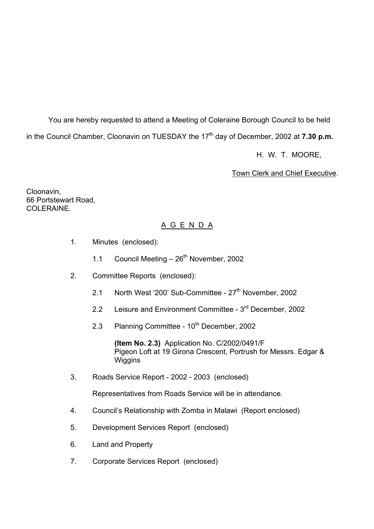You are hereby requested to attend a Meeting of Coleraine Borough Council to be held in the Council Chamber, Cloonavin on TUESDAY the 17<sup>th</sup> day of December, 2002 at 7.30 p.m.

H. W. T. MOORE,

Town Clerk and Chief Executive.

Cloonavin, 66 Portstewart Road, COLERAINE.

# A G E N D A

- 1. Minutes (enclosed):
	- 1.1 Council Meeting  $-26^{th}$  November, 2002
- 2. Committee Reports (enclosed):
	- 2.1 North West '200' Sub-Committee 27<sup>th</sup> November, 2002
	- 2.2 Leisure and Environment Committee 3<sup>rd</sup> December, 2002
	- 2.3 Planning Committee 10<sup>th</sup> December, 2002

 **(Item No. 2.3)** Application No. C/2002/0491/F Pigeon Loft at 19 Girona Crescent, Portrush for Messrs. Edgar & **Wiggins** 

3. Roads Service Report - 2002 - 2003 (enclosed)

Representatives from Roads Service will be in attendance.

- 4. Councilís Relationship with Zomba in Malawi (Report enclosed)
- 5. Development Services Report (enclosed)
- 6. Land and Property
- 7. Corporate Services Report (enclosed)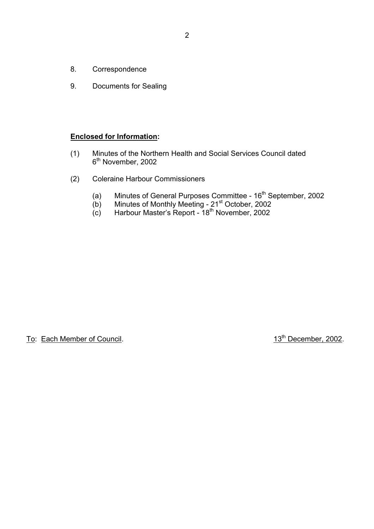- 8. Correspondence
- 9. Documents for Sealing

### **Enclosed for Information:**

- (1) Minutes of the Northern Health and Social Services Council dated 6<sup>th</sup> November, 2002
- (2) Coleraine Harbour Commissioners
- (a) Minutes of General Purposes Committee  $16<sup>th</sup>$  September, 2002
- (b) Minutes of Monthly Meeting 21st October, 2002
- (c) Harbour Master's Report 18<sup>th</sup> November, 2002

To: Each Member of Council. 13<sup>th</sup> December, 2002.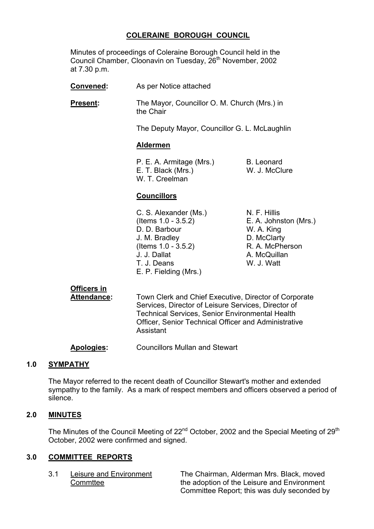# **COLERAINE BOROUGH COUNCIL**

 Minutes of proceedings of Coleraine Borough Council held in the Council Chamber, Cloonavin on Tuesday, 26<sup>th</sup> November, 2002 at 7.30 p.m.

- **Convened:** As per Notice attached
- **Present:** The Mayor, Councillor O. M. Church (Mrs.) in the Chair

The Deputy Mayor, Councillor G. L. McLaughlin

## **Aldermen**

P. E. A. Armitage (Mrs.) B. Leonard E. T. Black (Mrs.) W. J. McClure W. T. Creelman

## **Councillors**

- C. S. Alexander (Ms.) N. F. Hillis (Items 1.0 - 3.5.2) E. A. Johnston (Mrs.) D. D. Barbour W. A. King J. M. Bradley D. McClarty (Items 1.0 - 3.5.2) R. A. McPherson J. J. Dallat A. McQuillan T. J. Deans W. J. Watt E. P. Fielding (Mrs.)
	-

# **Officers in**

**Attendance:** Town Clerk and Chief Executive, Director of Corporate Services, Director of Leisure Services, Director of Technical Services, Senior Environmental Health Officer, Senior Technical Officer and Administrative Assistant

**Apologies:** Councillors Mullan and Stewart

# **1.0 SYMPATHY**

 The Mayor referred to the recent death of Councillor Stewart's mother and extended sympathy to the family. As a mark of respect members and officers observed a period of silence.

# **2.0 MINUTES**

The Minutes of the Council Meeting of  $22<sup>nd</sup>$  October, 2002 and the Special Meeting of  $29<sup>th</sup>$ October, 2002 were confirmed and signed.

## **3.0 COMMITTEE REPORTS**

 3.1 Leisure and Environment The Chairman, Alderman Mrs. Black, moved Commttee the adoption of the Leisure and Environment Committee Report; this was duly seconded by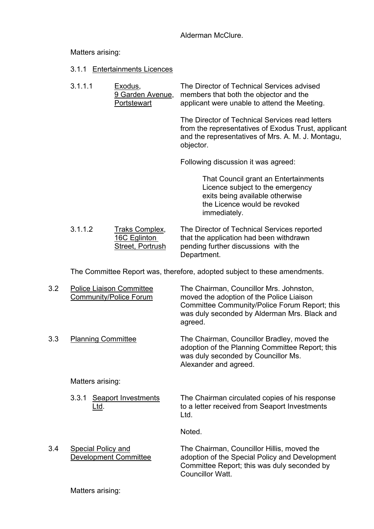Alderman McClure.

Matters arising:

- 3.1.1 Entertainments Licences
- 3.1.1.1 Exodus, The Director of Technical Services advised 9 Garden Avenue, members that both the objector and the Portstewart applicant were unable to attend the Meeting.

The Director of Technical Services read letters from the representatives of Exodus Trust, applicant and the representatives of Mrs. A. M. J. Montagu, objector.

Following discussion it was agreed:

 That Council grant an Entertainments Licence subject to the emergency exits being available otherwise the Licence would be revoked immediately.

 3.1.1.2 Traks Complex, The Director of Technical Services reported 16C Eglinton that the application had been withdrawn Street, Portrush pending further discussions with the Department.

The Committee Report was, therefore, adopted subject to these amendments.

| 3.2 | <b>Police Liaison Committee</b><br><b>Community/Police Forum</b> | The Chairman, Councillor Mrs. Johnston,<br>moved the adoption of the Police Liaison<br>Committee Community/Police Forum Report; this<br>was duly seconded by Alderman Mrs. Black and<br>agreed. |
|-----|------------------------------------------------------------------|-------------------------------------------------------------------------------------------------------------------------------------------------------------------------------------------------|
| 3.3 | <b>Planning Committee</b>                                        | The Chairman, Councillor Bradley, moved the<br>adoption of the Planning Committee Report; this<br>was duly seconded by Councillor Ms.<br>Alexander and agreed.                                  |
|     | Matters arising:                                                 |                                                                                                                                                                                                 |
|     | <b>Seaport Investments</b><br>3.3.1<br><u>Ltd.</u>               | The Chairman circulated copies of his response<br>to a letter received from Seaport Investments<br>Ltd.                                                                                         |
|     |                                                                  | Noted.                                                                                                                                                                                          |
| 3.4 | <b>Special Policy and</b><br>Development Committee               | The Chairman, Councillor Hillis, moved the<br>adoption of the Special Policy and Development<br>Committee Report; this was duly seconded by<br>Councillor Watt.                                 |
|     | Matters arising:                                                 |                                                                                                                                                                                                 |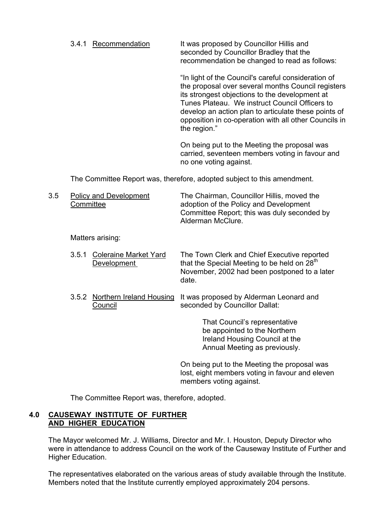3.4.1 Recommendation It was proposed by Councillor Hillis and seconded by Councillor Bradley that the recommendation be changed to read as follows:

> "In light of the Council's careful consideration of the proposal over several months Council registers its strongest objections to the development at Tunes Plateau. We instruct Council Officers to develop an action plan to articulate these points of opposition in co-operation with all other Councils in the region."

On being put to the Meeting the proposal was carried, seventeen members voting in favour and no one voting against.

The Committee Report was, therefore, adopted subject to this amendment.

 3.5 Policy and Development The Chairman, Councillor Hillis, moved the Committee adoption of the Policy and Development Committee Report; this was duly seconded by Alderman McClure.

Matters arising:

- 3.5.1 Coleraine Market Yard The Town Clerk and Chief Executive reported Development that the Special Meeting to be held on  $28<sup>th</sup>$  November, 2002 had been postponed to a later date.
- 3.5.2 Northern Ireland Housing It was proposed by Alderman Leonard and Council Seconded by Councillor Dallat:

That Council's representative be appointed to the Northern Ireland Housing Council at the Annual Meeting as previously.

 On being put to the Meeting the proposal was lost, eight members voting in favour and eleven members voting against.

The Committee Report was, therefore, adopted.

## **4.0 CAUSEWAY INSTITUTE OF FURTHER AND HIGHER EDUCATION**

 The Mayor welcomed Mr. J. Williams, Director and Mr. I. Houston, Deputy Director who were in attendance to address Council on the work of the Causeway Institute of Further and Higher Education.

 The representatives elaborated on the various areas of study available through the Institute. Members noted that the Institute currently employed approximately 204 persons.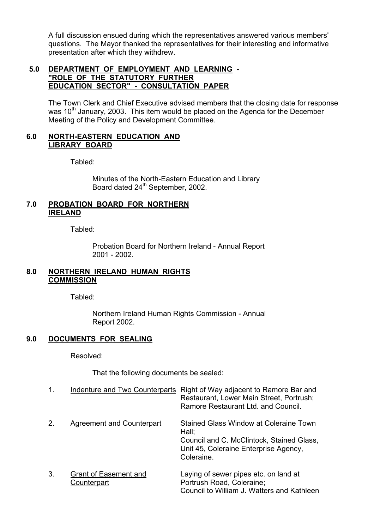A full discussion ensued during which the representatives answered various members' questions. The Mayor thanked the representatives for their interesting and informative presentation after which they withdrew.

# **5.0 DEPARTMENT OF EMPLOYMENT AND LEARNING - "ROLE OF THE STATUTORY FURTHER EDUCATION SECTOR" - CONSULTATION PAPER**

The Town Clerk and Chief Executive advised members that the closing date for response was  $10<sup>th</sup>$  January, 2003. This item would be placed on the Agenda for the December Meeting of the Policy and Development Committee.

# **6.0 NORTH-EASTERN EDUCATION AND LIBRARY BOARD**

Tabled:

 Minutes of the North-Eastern Education and Library Board dated 24<sup>th</sup> September, 2002.

## **7.0 PROBATION BOARD FOR NORTHERN IRELAND**

Tabled:

 Probation Board for Northern Ireland - Annual Report 2001 - 2002.

## **8.0 NORTHERN IRELAND HUMAN RIGHTS COMMISSION**

Tabled:

 Northern Ireland Human Rights Commission - Annual Report 2002.

# **9.0 DOCUMENTS FOR SEALING**

Resolved:

That the following documents be sealed:

| 1. | Indenture and Two Counterparts              | Right of Way adjacent to Ramore Bar and<br>Restaurant, Lower Main Street, Portrush;<br>Ramore Restaurant Ltd. and Council.                          |
|----|---------------------------------------------|-----------------------------------------------------------------------------------------------------------------------------------------------------|
| 2. | Agreement and Counterpart                   | Stained Glass Window at Coleraine Town<br>Hall;<br>Council and C. McClintock, Stained Glass,<br>Unit 45, Coleraine Enterprise Agency,<br>Coleraine. |
| 3. | <b>Grant of Easement and</b><br>Counterpart | Laying of sewer pipes etc. on land at<br>Portrush Road, Coleraine;<br>Council to William J. Watters and Kathleen                                    |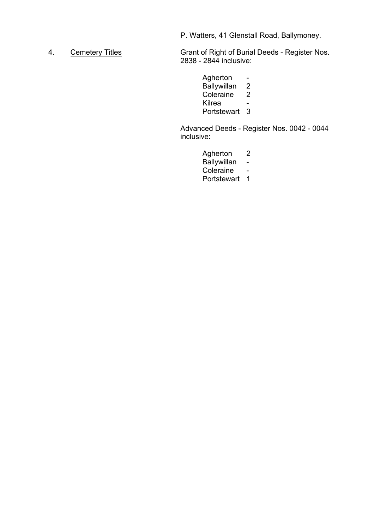P. Watters, 41 Glenstall Road, Ballymoney.

4. Cemetery Titles Grant of Right of Burial Deeds - Register Nos. 2838 - 2844 inclusive:

> Agherton -Ballywillan 2<br>Coleraine 2 Coleraine Kilrea - Portstewart 3

Advanced Deeds - Register Nos. 0042 - 0044 inclusive:

Agherton 2

Ballywillan -

Coleraine -

Portstewart 1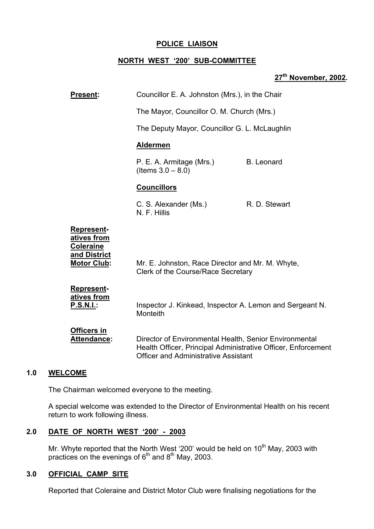# **POLICE LIAISON**

## **NORTH WEST ë200í SUB-COMMITTEE**

# **27th November, 2002.**

| <b>Present:</b>                                                                            | Councillor E. A. Johnston (Mrs.), in the Chair                                                                                                                         |                   |
|--------------------------------------------------------------------------------------------|------------------------------------------------------------------------------------------------------------------------------------------------------------------------|-------------------|
|                                                                                            | The Mayor, Councillor O. M. Church (Mrs.)                                                                                                                              |                   |
|                                                                                            | The Deputy Mayor, Councillor G. L. McLaughlin                                                                                                                          |                   |
|                                                                                            | <b>Aldermen</b>                                                                                                                                                        |                   |
|                                                                                            | P. E. A. Armitage (Mrs.)<br>(Items $3.0 - 8.0$ )                                                                                                                       | <b>B.</b> Leonard |
|                                                                                            | <b>Councillors</b>                                                                                                                                                     |                   |
|                                                                                            | C. S. Alexander (Ms.)<br>N. F. Hillis                                                                                                                                  | R. D. Stewart     |
| <b>Represent-</b><br>atives from<br><b>Coleraine</b><br>and District<br><b>Motor Club:</b> | Mr. E. Johnston, Race Director and Mr. M. Whyte,<br>Clerk of the Course/Race Secretary                                                                                 |                   |
| <b>Represent-</b><br>atives from<br>P.S.N.I.:                                              | Inspector J. Kinkead, Inspector A. Lemon and Sergeant N.<br>Monteith                                                                                                   |                   |
| <b>Officers in</b><br><b>Attendance:</b>                                                   | Director of Environmental Health, Senior Environmental<br>Health Officer, Principal Administrative Officer, Enforcement<br><b>Officer and Administrative Assistant</b> |                   |

#### **1.0 WELCOME**

The Chairman welcomed everyone to the meeting.

A special welcome was extended to the Director of Environmental Health on his recent return to work following illness.

# **2.0 DATE OF NORTH WEST ë200í - 2003**

Mr. Whyte reported that the North West '200' would be held on 10<sup>th</sup> May, 2003 with practices on the evenings of  $6<sup>th</sup>$  and  $8<sup>th</sup>$  May, 2003.

### **3.0 OFFICIAL CAMP SITE**

Reported that Coleraine and District Motor Club were finalising negotiations for the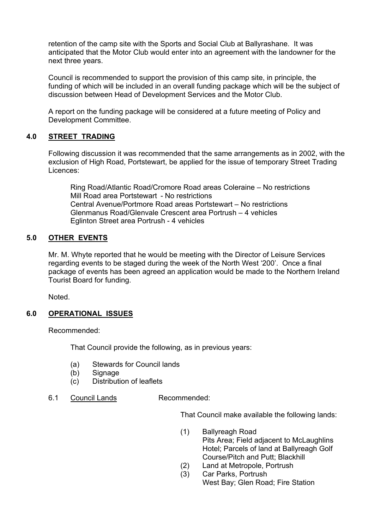retention of the camp site with the Sports and Social Club at Ballyrashane. It was anticipated that the Motor Club would enter into an agreement with the landowner for the next three years.

Council is recommended to support the provision of this camp site, in principle, the funding of which will be included in an overall funding package which will be the subject of discussion between Head of Development Services and the Motor Club.

A report on the funding package will be considered at a future meeting of Policy and Development Committee.

# **4.0 STREET TRADING**

Following discussion it was recommended that the same arrangements as in 2002, with the exclusion of High Road, Portstewart, be applied for the issue of temporary Street Trading Licences:

Ring Road/Atlantic Road/Cromore Road areas Coleraine – No restrictions Mill Road area Portstewart - No restrictions Central Avenue/Portmore Road areas Portstewart – No restrictions Glenmanus Road/Glenvale Crescent area Portrush – 4 vehicles Eglinton Street area Portrush - 4 vehicles

# **5.0 OTHER EVENTS**

Mr. M. Whyte reported that he would be meeting with the Director of Leisure Services regarding events to be staged during the week of the North West '200'. Once a final package of events has been agreed an application would be made to the Northern Ireland Tourist Board for funding.

Noted.

# **6.0 OPERATIONAL ISSUES**

Recommended:

That Council provide the following, as in previous years:

- (a) Stewards for Council lands
- (b) Signage
- (c) Distribution of leaflets
- 6.1 Council Lands Recommended:

That Council make available the following lands:

- (1) Ballyreagh Road Pits Area; Field adjacent to McLaughlins Hotel; Parcels of land at Ballyreagh Golf Course/Pitch and Putt; Blackhill
- (2) Land at Metropole, Portrush
- (3) Car Parks, Portrush West Bay; Glen Road; Fire Station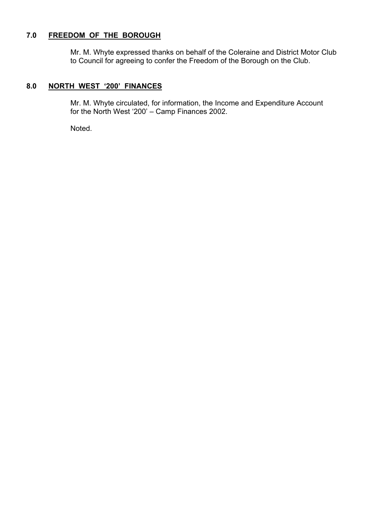# **7.0 FREEDOM OF THE BOROUGH**

Mr. M. Whyte expressed thanks on behalf of the Coleraine and District Motor Club to Council for agreeing to confer the Freedom of the Borough on the Club.

# 8.0 NORTH WEST '200' FINANCES

 Mr. M. Whyte circulated, for information, the Income and Expenditure Account for the North West '200'  $-$  Camp Finances 2002.

Noted.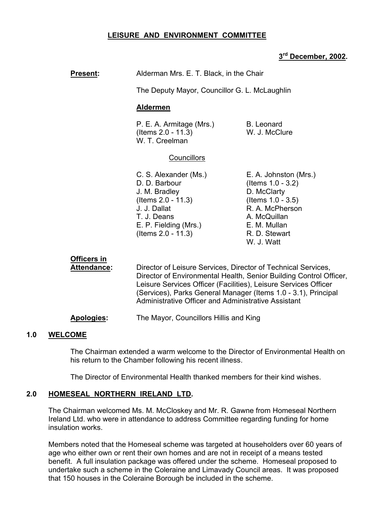# **LEISURE AND ENVIRONMENT COMMITTEE**

# **3rd December, 2002.**

| <b>Present:</b>                          | Alderman Mrs. E. T. Black, in the Chair                                                                                                                                                                                                                                                                                                     |  |  |  |
|------------------------------------------|---------------------------------------------------------------------------------------------------------------------------------------------------------------------------------------------------------------------------------------------------------------------------------------------------------------------------------------------|--|--|--|
|                                          | The Deputy Mayor, Councillor G. L. McLaughlin                                                                                                                                                                                                                                                                                               |  |  |  |
|                                          | <b>Aldermen</b>                                                                                                                                                                                                                                                                                                                             |  |  |  |
|                                          | P. E. A. Armitage (Mrs.)<br><b>B.</b> Leonard<br>(Items 2.0 - 11.3)<br>W. J. McClure<br>W. T. Creelman                                                                                                                                                                                                                                      |  |  |  |
|                                          | <b>Councillors</b>                                                                                                                                                                                                                                                                                                                          |  |  |  |
|                                          | C. S. Alexander (Ms.)<br>E. A. Johnston (Mrs.)<br>D. D. Barbour<br>(Items $1.0 - 3.2$ )<br>D. McClarty<br>J. M. Bradley<br>(Items $1.0 - 3.5$ )<br>$($ ltems 2.0 - 11.3 $)$<br>J. J. Dallat<br>R. A. McPherson<br>T. J. Deans<br>A. McQuillan<br>E. P. Fielding (Mrs.)<br>E. M. Mullan<br>(Items 2.0 - 11.3)<br>R. D. Stewart<br>W. J. Watt |  |  |  |
| <b>Officers in</b><br><b>Attendance:</b> | Director of Leisure Services, Director of Technical Services,<br>Director of Environmental Health, Senior Building Control Officer,<br>Leisure Services Officer (Facilities), Leisure Services Officer<br>(Services), Parks General Manager (Items 1.0 - 3.1), Principal<br>Administrative Officer and Administrative Assistant             |  |  |  |

#### **Apologies:** The Mayor, Councillors Hillis and King

## **1.0 WELCOME**

The Chairman extended a warm welcome to the Director of Environmental Health on his return to the Chamber following his recent illness.

The Director of Environmental Health thanked members for their kind wishes.

## **2.0 HOMESEAL NORTHERN IRELAND LTD.**

The Chairman welcomed Ms. M. McCloskey and Mr. R. Gawne from Homeseal Northern Ireland Ltd. who were in attendance to address Committee regarding funding for home insulation works.

Members noted that the Homeseal scheme was targeted at householders over 60 years of age who either own or rent their own homes and are not in receipt of a means tested benefit. A full insulation package was offered under the scheme. Homeseal proposed to undertake such a scheme in the Coleraine and Limavady Council areas. It was proposed that 150 houses in the Coleraine Borough be included in the scheme.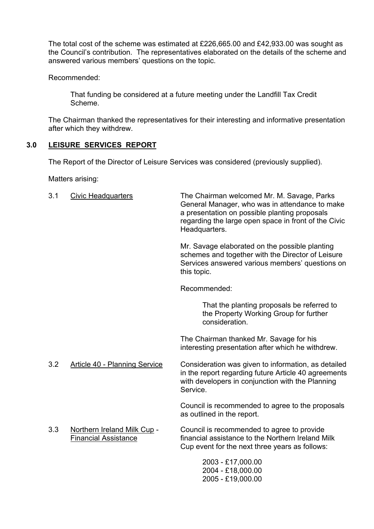The total cost of the scheme was estimated at £226,665.00 and £42,933.00 was sought as the Council's contribution. The representatives elaborated on the details of the scheme and answered various members' questions on the topic.

Recommended:

That funding be considered at a future meeting under the Landfill Tax Credit Scheme.

The Chairman thanked the representatives for their interesting and informative presentation after which they withdrew.

# **3.0 LEISURE SERVICES REPORT**

The Report of the Director of Leisure Services was considered (previously supplied).

Matters arising:

3.1 Civic Headquarters The Chairman welcomed Mr. M. Savage, Parks General Manager, who was in attendance to make a presentation on possible planting proposals regarding the large open space in front of the Civic Headquarters.

> Mr. Savage elaborated on the possible planting schemes and together with the Director of Leisure Services answered various members' questions on this topic.

Recommended:

That the planting proposals be referred to the Property Working Group for further consideration.

The Chairman thanked Mr. Savage for his interesting presentation after which he withdrew.

 3.2 Article 40 - Planning Service Consideration was given to information, as detailed in the report regarding future Article 40 agreements with developers in conjunction with the Planning Service.

> Council is recommended to agree to the proposals as outlined in the report.

 3.3 Northern Ireland Milk Cup - Council is recommended to agree to provide Financial Assistance **Financial assistance to the Northern Ireland Milk** Cup event for the next three years as follows:

> 2003 - £17,000.00 2004 - £18,000.00 2005 - £19,000.00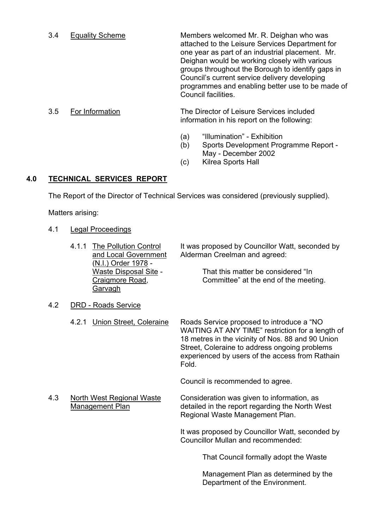3.4 Equality Scheme Members welcomed Mr. R. Deighan who was attached to the Leisure Services Department for one year as part of an industrial placement. Mr. Deighan would be working closely with various groups throughout the Borough to identify gaps in Council's current service delivery developing programmes and enabling better use to be made of Council facilities.

## 3.5 For Information The Director of Leisure Services included information in his report on the following:

- $(a)$  "Illumination" Exhibition
- (b) Sports Development Programme Report May - December 2002
- (c) Kilrea Sports Hall

# **4.0 TECHNICAL SERVICES REPORT**

The Report of the Director of Technical Services was considered (previously supplied).

Matters arising:

- 4.1 Legal Proceedings
	- (N.I.) Order 1978 **Garvagh**

4.1.1 The Pollution Control It was proposed by Councillor Watt, seconded by and Local Government Alderman Creelman and agreed:

Waste Disposal Site - That this matter be considered "In Craigmore Road, Committee" at the end of the meeting.

- 4.2 DRD Roads Service
	- 4.2.1 Union Street, Coleraine Roads Service proposed to introduce a "NO WAITING AT ANY TIME" restriction for a length of 18 metres in the vicinity of Nos. 88 and 90 Union Street, Coleraine to address ongoing problems experienced by users of the access from Rathain Fold.

Council is recommended to agree.

 4.3 North West Regional Waste Consideration was given to information, as Management Plan detailed in the report regarding the North West Regional Waste Management Plan.

> It was proposed by Councillor Watt, seconded by Councillor Mullan and recommended:

> > That Council formally adopt the Waste

Management Plan as determined by the Department of the Environment.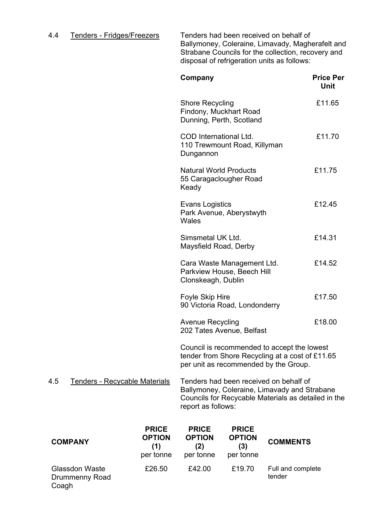# 4.4 Tenders - Fridges/Freezers Tenders had been received on behalf of

Ballymoney, Coleraine, Limavady, Magherafelt and Strabane Councils for the collection, recovery and disposal of refrigeration units as follows:

|     |                               | Company                                                                                                                                                             | <b>Price Per</b><br>Unit |
|-----|-------------------------------|---------------------------------------------------------------------------------------------------------------------------------------------------------------------|--------------------------|
|     |                               | <b>Shore Recycling</b><br>Findony, Muckhart Road<br>Dunning, Perth, Scotland                                                                                        | £11.65                   |
|     |                               | COD International Ltd.<br>110 Trewmount Road, Killyman<br>Dungannon                                                                                                 | £11.70                   |
|     |                               | <b>Natural World Products</b><br>55 Caragaclougher Road<br>Keady                                                                                                    | £11.75                   |
|     |                               | <b>Evans Logistics</b><br>Park Avenue, Aberystwyth<br>Wales                                                                                                         | £12.45                   |
|     |                               | Simsmetal UK Ltd.<br>Maysfield Road, Derby                                                                                                                          | £14.31                   |
|     |                               | Cara Waste Management Ltd.<br>Parkview House, Beech Hill<br>Clonskeagh, Dublin                                                                                      | £14.52                   |
|     |                               | Foyle Skip Hire<br>90 Victoria Road, Londonderry                                                                                                                    | £17.50                   |
|     |                               | <b>Avenue Recycling</b><br>202 Tates Avenue, Belfast                                                                                                                | £18.00                   |
|     |                               | Council is recommended to accept the lowest<br>tender from Shore Recycling at a cost of £11.65<br>per unit as recommended by the Group.                             |                          |
| 4.5 | Tenders - Recycable Materials | Tenders had been received on behalf of<br>Ballymoney, Coleraine, Limavady and Strabane<br>Councils for Recycable Materials as detailed in the<br>report as follows: |                          |

| <b>COMPANY</b>                                   | <b>PRICE</b><br><b>OPTION</b><br>(1)<br>per tonne | <b>PRICE</b><br><b>OPTION</b><br>(2)<br>per tonne | <b>PRICE</b><br><b>OPTION</b><br>(3)<br>per tonne | <b>COMMENTS</b>             |
|--------------------------------------------------|---------------------------------------------------|---------------------------------------------------|---------------------------------------------------|-----------------------------|
| <b>Glassdon Waste</b><br>Drummenny Road<br>Coagh | £26.50                                            | £42.00                                            | £19.70                                            | Full and complete<br>tender |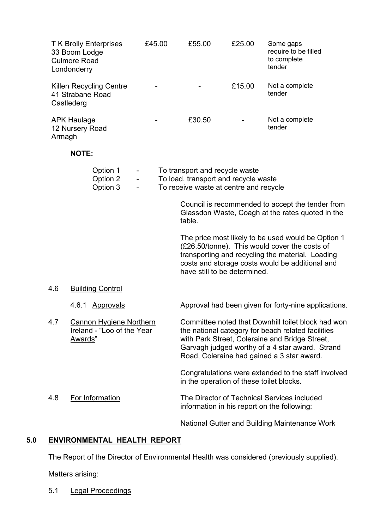| 33 Boom Lodge<br><b>Culmore Road</b><br>Londonderry | <b>TK Brolly Enterprises</b>                                 | £45.00 | £55.00                                                                                                           | £25.00 | Some gaps<br>require to be filled<br>to complete<br>tender                                                                                                                                                                                                  |
|-----------------------------------------------------|--------------------------------------------------------------|--------|------------------------------------------------------------------------------------------------------------------|--------|-------------------------------------------------------------------------------------------------------------------------------------------------------------------------------------------------------------------------------------------------------------|
| 41 Strabane Road<br>Castlederg                      | Killen Recycling Centre                                      |        |                                                                                                                  | £15.00 | Not a complete<br>tender                                                                                                                                                                                                                                    |
| <b>APK Haulage</b><br>12 Nursery Road<br>Armagh     |                                                              |        | £30.50                                                                                                           |        | Not a complete<br>tender                                                                                                                                                                                                                                    |
| <b>NOTE:</b>                                        |                                                              |        |                                                                                                                  |        |                                                                                                                                                                                                                                                             |
|                                                     | Option 1<br>Option 2<br>Option 3                             |        | To transport and recycle waste<br>To load, transport and recycle waste<br>To receive waste at centre and recycle |        |                                                                                                                                                                                                                                                             |
|                                                     |                                                              |        | table.                                                                                                           |        | Council is recommended to accept the tender from<br>Glassdon Waste, Coagh at the rates quoted in the                                                                                                                                                        |
|                                                     |                                                              |        | have still to be determined.                                                                                     |        | The price most likely to be used would be Option 1<br>(£26.50/tonne). This would cover the costs of<br>transporting and recycling the material. Loading<br>costs and storage costs would be additional and                                                  |
| 4.6                                                 | <b>Building Control</b>                                      |        |                                                                                                                  |        |                                                                                                                                                                                                                                                             |
|                                                     | 4.6.1 Approvals                                              |        |                                                                                                                  |        | Approval had been given for forty-nine applications.                                                                                                                                                                                                        |
| 4.7<br>Awards"                                      | <b>Cannon Hygiene Northern</b><br>Ireland - "Loo of the Year |        |                                                                                                                  |        | Committee noted that Downhill toilet block had won<br>the national category for beach related facilities<br>with Park Street, Coleraine and Bridge Street,<br>Garvagh judged worthy of a 4 star award. Strand<br>Road, Coleraine had gained a 3 star award. |
|                                                     |                                                              |        | in the operation of these toilet blocks.                                                                         |        | Congratulations were extended to the staff involved                                                                                                                                                                                                         |
| 4.8                                                 | For Information                                              |        |                                                                                                                  |        | The Director of Technical Services included<br>information in his report on the following:                                                                                                                                                                  |
|                                                     |                                                              |        |                                                                                                                  |        | National Gutter and Building Maintenance Work                                                                                                                                                                                                               |

# **5.0 ENVIRONMENTAL HEALTH REPORT**

The Report of the Director of Environmental Health was considered (previously supplied).

Matters arising:

5.1 Legal Proceedings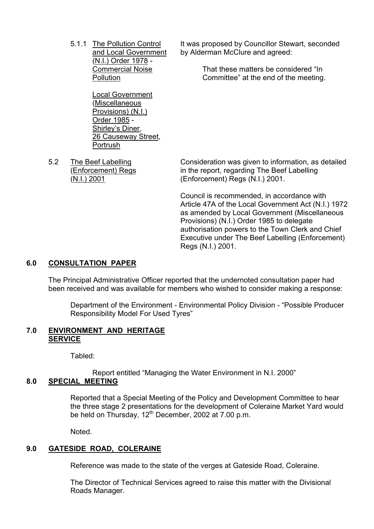(N.I.) Order 1978 -

 Local Government (Miscellaneous Provisions) (N.I.) Order 1985 - Shirley's Diner, 26 Causeway Street, Portrush

5.1.1 The Pollution Control It was proposed by Councillor Stewart, seconded and Local Government by Alderman McClure and agreed:

Commercial Noise That these matters be considered "In Pollution **Committee**" at the end of the meeting.

 5.2 The Beef Labelling Consideration was given to information, as detailed (Enforcement) Regs in the report, regarding The Beef Labelling (N.I.) 2001 (Enforcement) Regs (N.I.) 2001.

> Council is recommended, in accordance with Article 47A of the Local Government Act (N.I.) 1972 as amended by Local Government (Miscellaneous Provisions) (N.I.) Order 1985 to delegate authorisation powers to the Town Clerk and Chief Executive under The Beef Labelling (Enforcement) Regs (N.I.) 2001.

# **6.0 CONSULTATION PAPER**

The Principal Administrative Officer reported that the undernoted consultation paper had been received and was available for members who wished to consider making a response:

Department of the Environment - Environmental Policy Division - "Possible Producer Responsibility Model For Used Tyres"

#### **7.0 ENVIRONMENT AND HERITAGE SERVICE**

Tabled:

Report entitled "Managing the Water Environment in N.I. 2000"

# **8.0 SPECIAL MEETING**

 Reported that a Special Meeting of the Policy and Development Committee to hear the three stage 2 presentations for the development of Coleraine Market Yard would be held on Thursday, 12<sup>th</sup> December, 2002 at 7.00 p.m.

Noted.

# **9.0 GATESIDE ROAD, COLERAINE**

Reference was made to the state of the verges at Gateside Road, Coleraine.

 The Director of Technical Services agreed to raise this matter with the Divisional Roads Manager.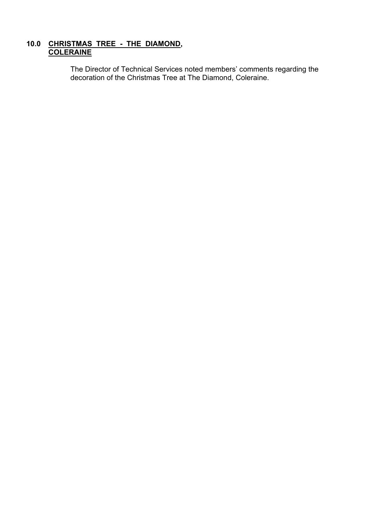# **10.0 CHRISTMAS TREE - THE DIAMOND, COLERAINE**

The Director of Technical Services noted members' comments regarding the decoration of the Christmas Tree at The Diamond, Coleraine.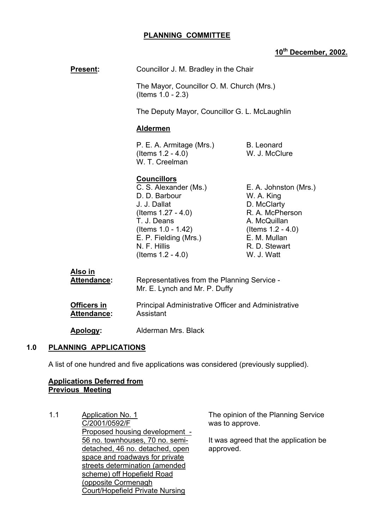# **PLANNING COMMITTEE**

# **10th December, 2002.**

| Councillor J. M. Bradley in the Chair |
|---------------------------------------|
|---------------------------------------|

 The Mayor, Councillor O. M. Church (Mrs.) (Items 1.0 - 2.3)

The Deputy Mayor, Councillor G. L. McLaughlin

### **Aldermen**

P. E. A. Armitage (Mrs.) B. Leonard (Items 1.2 - 4.0) W. J. McClure W. T. Creelman

## **Councillors**

 C. S. Alexander (Ms.) E. A. Johnston (Mrs.) D. D. Barbour W. A. King J. J. Dallat D. McClarty  $($ ltems 1.27 - 4.0 $)$  R. A. McPherson T. J. Deans A. McQuillan (Items 1.0 - 1.42) (Items 1.2 - 4.0) E. P. Fielding (Mrs.) E. M. Mullan N. F. Hillis R. D. Stewart (Items 1.2 - 4.0) W. J. Watt

| Also in            | Representatives from the Planning Service -         |
|--------------------|-----------------------------------------------------|
| <b>Attendance:</b> | Mr. E. Lynch and Mr. P. Duffy                       |
| <b>Officers in</b> | Principal Administrative Officer and Administrative |
| <b>Attendance:</b> | Assistant                                           |
| Apology:           | Alderman Mrs. Black                                 |

### **1.0 PLANNING APPLICATIONS**

A list of one hundred and five applications was considered (previously supplied).

# **Applications Deferred from Previous Meeting**

1.1 Application No. 1 C/2001/0592/F Proposed housing development - 56 no. townhouses, 70 no. semidetached, 46 no. detached, open space and roadways for private streets determination (amended scheme) off Hopefield Road (opposite Cormenagh Court/Hopefield Private Nursing

The opinion of the Planning Service was to approve.

It was agreed that the application be approved.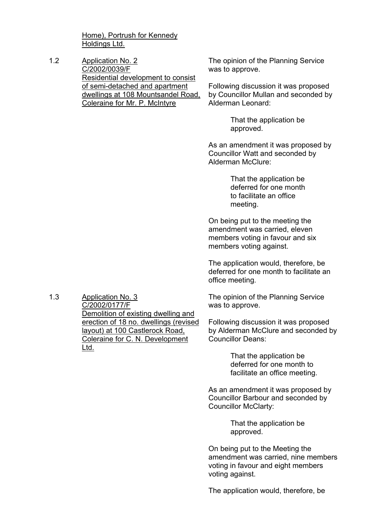Home), Portrush for Kennedy Holdings Ltd.

1.2 Application No. 2 C/2002/0039/F Residential development to consist of semi-detached and apartment dwellings at 108 Mountsandel Road, Coleraine for Mr. P. McIntyre

The opinion of the Planning Service was to approve.

Following discussion it was proposed by Councillor Mullan and seconded by Alderman Leonard:

> That the application be approved.

As an amendment it was proposed by Councillor Watt and seconded by Alderman McClure:

> That the application be deferred for one month to facilitate an office meeting.

On being put to the meeting the amendment was carried, eleven members voting in favour and six members voting against.

The application would, therefore, be deferred for one month to facilitate an office meeting.

The opinion of the Planning Service was to approve.

Following discussion it was proposed by Alderman McClure and seconded by Councillor Deans:

> That the application be deferred for one month to facilitate an office meeting.

As an amendment it was proposed by Councillor Barbour and seconded by Councillor McClarty:

> That the application be approved.

On being put to the Meeting the amendment was carried, nine members voting in favour and eight members voting against.

The application would, therefore, be

1.3 Application No. 3 C/2002/0177/F Demolition of existing dwelling and erection of 18 no. dwellings (revised layout) at 100 Castlerock Road, Coleraine for C. N. Development Ltd.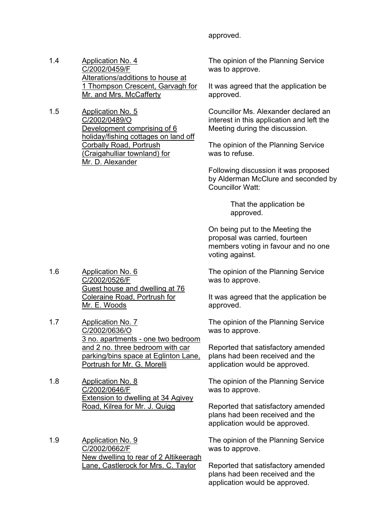#### approved.

- 1.4 Application No. 4 C/2002/0459/F Alterations/additions to house at 1 Thompson Crescent, Garvagh for Mr. and Mrs. McCafferty
- 1.5 Application No. 5 C/2002/0489/O Development comprising of 6 holiday/fishing cottages on land off Corbally Road, Portrush (Craigahulliar townland) for Mr. D. Alexander

The opinion of the Planning Service was to approve.

It was agreed that the application be approved.

Councillor Ms. Alexander declared an interest in this application and left the Meeting during the discussion.

The opinion of the Planning Service was to refuse.

Following discussion it was proposed by Alderman McClure and seconded by Councillor Watt:

> That the application be approved.

On being put to the Meeting the proposal was carried, fourteen members voting in favour and no one voting against.

The opinion of the Planning Service was to approve.

It was agreed that the application be approved.

The opinion of the Planning Service was to approve.

Reported that satisfactory amended plans had been received and the application would be approved.

The opinion of the Planning Service was to approve.

Reported that satisfactory amended plans had been received and the application would be approved.

The opinion of the Planning Service was to approve.

Reported that satisfactory amended plans had been received and the application would be approved.

- 1.6 Application No. 6 C/2002/0526/F Guest house and dwelling at 76 Coleraine Road, Portrush for Mr. E. Woods
- 1.7 Application No. 7 C/2002/0636/O 3 no. apartments - one two bedroom and 2 no. three bedroom with car parking/bins space at Eglinton Lane, Portrush for Mr. G. Morelli

1.8 Application No. 8 C/2002/0646/F Extension to dwelling at 34 Agivey Road, Kilrea for Mr. J. Quigg

1.9 Application No. 9 C/2002/0662/F New dwelling to rear of 2 Altikeeragh Lane, Castlerock for Mrs. C. Taylor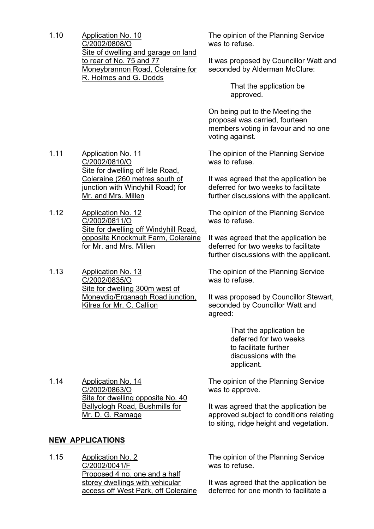1.10 Application No. 10 C/2002/0808/O Site of dwelling and garage on land to rear of No. 75 and 77 Moneybrannon Road, Coleraine for R. Holmes and G. Dodds

The opinion of the Planning Service was to refuse.

It was proposed by Councillor Watt and seconded by Alderman McClure:

> That the application be approved.

On being put to the Meeting the proposal was carried, fourteen members voting in favour and no one voting against.

The opinion of the Planning Service was to refuse.

It was agreed that the application be deferred for two weeks to facilitate further discussions with the applicant.

The opinion of the Planning Service was to refuse.

It was agreed that the application be deferred for two weeks to facilitate further discussions with the applicant.

The opinion of the Planning Service was to refuse.

It was proposed by Councillor Stewart, seconded by Councillor Watt and agreed:

> That the application be deferred for two weeks to facilitate further discussions with the applicant.

The opinion of the Planning Service was to approve.

It was agreed that the application be approved subject to conditions relating to siting, ridge height and vegetation.

The opinion of the Planning Service was to refuse.

It was agreed that the application be deferred for one month to facilitate a

1.11 Application No. 11 C/2002/0810/O Site for dwelling off Isle Road, Coleraine (260 metres south of junction with Windyhill Road) for Mr. and Mrs. Millen

1.12 Application No. 12 C/2002/0811/O Site for dwelling off Windyhill Road, opposite Knockmult Farm, Coleraine for Mr. and Mrs. Millen

1.13 Application No. 13 C/2002/0835/O Site for dwelling 300m west of Moneydig/Erganagh Road junction, Kilrea for Mr. C. Callion

1.14 Application No. 14 C/2002/0863/O Site for dwelling opposite No. 40 Ballyclogh Road, Bushmills for Mr. D. G. Ramage

# **NEW APPLICATIONS**

1.15 Application No. 2 C/2002/0041/F Proposed 4 no. one and a half storey dwellings with vehicular access off West Park, off Coleraine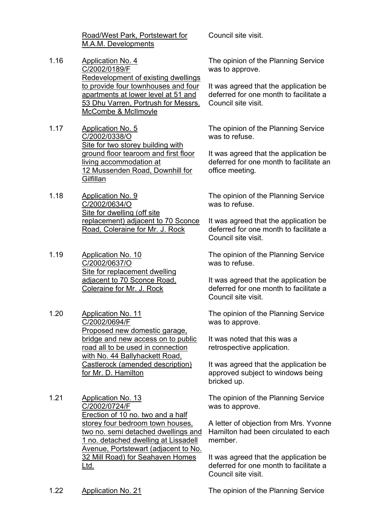Road/West Park, Portstewart for M.A.M. Developments

- 1.16 Application No. 4 C/2002/0189/F Redevelopment of existing dwellings to provide four townhouses and four apartments at lower level at 51 and 53 Dhu Varren, Portrush for Messrs. McCombe & McIlmoyle
- 1.17 Application No. 5 C/2002/0338/O Site for two storey building with ground floor tearoom and first floor living accommodation at 12 Mussenden Road, Downhill for **Gilfillan**
- 1.18 Application No. 9 C/2002/0634/O Site for dwelling (off site replacement) adjacent to 70 Sconce Road, Coleraine for Mr. J. Rock
- 1.19 Application No. 10 C/2002/0637/O Site for replacement dwelling adjacent to 70 Sconce Road, Coleraine for Mr. J. Rock
- 1.20 Application No. 11 C/2002/0694/F Proposed new domestic garage, bridge and new access on to public road all to be used in connection with No. 44 Ballyhackett Road, Castlerock (amended description) for Mr. D. Hamilton
- 1.21 Application No. 13 C/2002/0724/F Erection of 10 no. two and a half storey four bedroom town houses, two no. semi detached dwellings and 1 no. detached dwelling at Lissadell Avenue, Portstewart (adjacent to No. 32 Mill Road) for Seahaven Homes Ltd.

Council site visit.

The opinion of the Planning Service was to approve.

It was agreed that the application be deferred for one month to facilitate a Council site visit.

The opinion of the Planning Service was to refuse.

It was agreed that the application be deferred for one month to facilitate an office meeting.

The opinion of the Planning Service was to refuse.

It was agreed that the application be deferred for one month to facilitate a Council site visit.

The opinion of the Planning Service was to refuse.

It was agreed that the application be deferred for one month to facilitate a Council site visit.

The opinion of the Planning Service was to approve.

It was noted that this was a retrospective application.

It was agreed that the application be approved subject to windows being bricked up.

The opinion of the Planning Service was to approve.

A letter of objection from Mrs. Yvonne Hamilton had been circulated to each member.

It was agreed that the application be deferred for one month to facilitate a Council site visit.

1.22 Application No. 21 The opinion of the Planning Service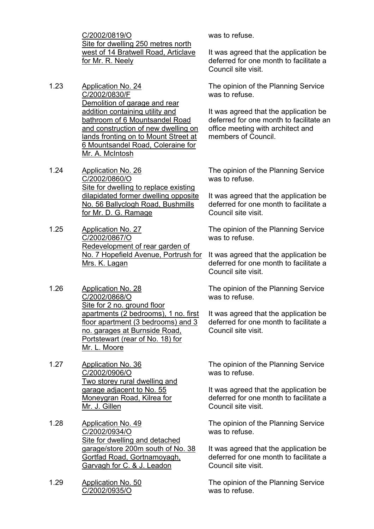C/2002/0819/O Site for dwelling 250 metres north west of 14 Bratwell Road, Articlave for Mr. R. Neely

- 1.23 Application No. 24 C/2002/0830/F Demolition of garage and rear addition containing utility and bathroom of 6 Mountsandel Road and construction of new dwelling on lands fronting on to Mount Street at 6 Mountsandel Road, Coleraine for Mr. A. McIntosh
- 1.24 Application No. 26 C/2002/0860/O Site for dwelling to replace existing dilapidated former dwelling opposite No. 56 Ballyclogh Road, Bushmills for Mr. D. G. Ramage
- 1.25 Application No. 27 C/2002/0867/O Redevelopment of rear garden of No. 7 Hopefield Avenue, Portrush for Mrs. K. Lagan
- 1.26 Application No. 28 C/2002/0868/O Site for 2 no. ground floor apartments (2 bedrooms), 1 no. first floor apartment (3 bedrooms) and 3 no. garages at Burnside Road, Portstewart (rear of No. 18) for Mr. L. Moore
- 1.27 Application No. 36 C/2002/0906/O Two storey rural dwelling and garage adjacent to No. 55 Moneygran Road, Kilrea for Mr. J. Gillen
- 1.28 Application No. 49 C/2002/0934/O Site for dwelling and detached garage/store 200m south of No. 38 Gortfad Road, Gortnamoyagh, Garvagh for C. & J. Leadon
- 1.29 Application No. 50 C/2002/0935/O

was to refuse.

It was agreed that the application be deferred for one month to facilitate a Council site visit.

The opinion of the Planning Service was to refuse.

It was agreed that the application be deferred for one month to facilitate an office meeting with architect and members of Council.

The opinion of the Planning Service was to refuse.

It was agreed that the application be deferred for one month to facilitate a Council site visit.

The opinion of the Planning Service was to refuse.

It was agreed that the application be deferred for one month to facilitate a Council site visit.

The opinion of the Planning Service was to refuse.

It was agreed that the application be deferred for one month to facilitate a Council site visit.

The opinion of the Planning Service was to refuse.

It was agreed that the application be deferred for one month to facilitate a Council site visit.

The opinion of the Planning Service was to refuse.

It was agreed that the application be deferred for one month to facilitate a Council site visit.

The opinion of the Planning Service was to refuse.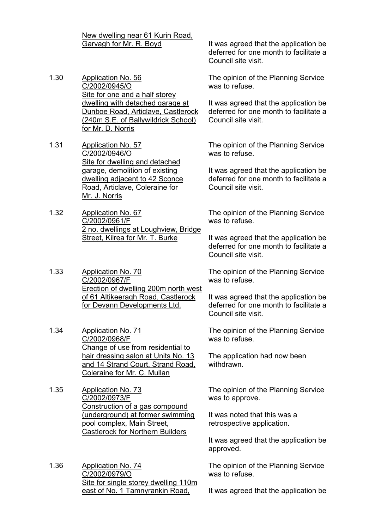New dwelling near 61 Kurin Road,

- 1.30 Application No. 56 C/2002/0945/O Site for one and a half storey dwelling with detached garage at Dunboe Road, Articlave, Castlerock (240m S.E. of Ballywildrick School) for Mr. D. Norris
- 1.31 Application No. 57 C/2002/0946/O Site for dwelling and detached garage, demolition of existing dwelling adjacent to 42 Sconce Road, Articlave, Coleraine for Mr. J. Norris
- 1.32 Application No. 67 C/2002/0961/F 2 no. dwellings at Loughview, Bridge Street, Kilrea for Mr. T. Burke
- 1.33 Application No. 70 C/2002/0967/F Erection of dwelling 200m north west of 61 Altikeeragh Road, Castlerock for Devann Developments Ltd.
- 1.34 Application No. 71 C/2002/0968/F Change of use from residential to hair dressing salon at Units No. 13 and 14 Strand Court, Strand Road, Coleraine for Mr. C. Mullan
- 1.35 Application No. 73 C/2002/0973/F Construction of a gas compound (underground) at former swimming pool complex, Main Street, Castlerock for Northern Builders
- 1.36 Application No. 74 C/2002/0979/O Site for single storey dwelling 110m east of No. 1 Tamnyrankin Road,

Garvagh for Mr. R. Boyd It was agreed that the application be deferred for one month to facilitate a Council site visit.

> The opinion of the Planning Service was to refuse.

It was agreed that the application be deferred for one month to facilitate a Council site visit.

The opinion of the Planning Service was to refuse.

It was agreed that the application be deferred for one month to facilitate a Council site visit.

The opinion of the Planning Service was to refuse.

It was agreed that the application be deferred for one month to facilitate a Council site visit.

The opinion of the Planning Service was to refuse.

It was agreed that the application be deferred for one month to facilitate a Council site visit.

The opinion of the Planning Service was to refuse.

The application had now been withdrawn.

The opinion of the Planning Service was to approve.

It was noted that this was a retrospective application.

It was agreed that the application be approved.

The opinion of the Planning Service was to refuse.

It was agreed that the application be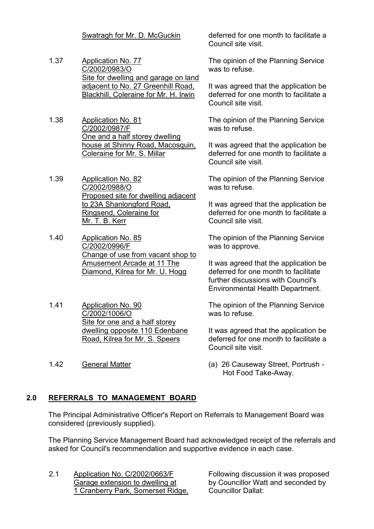- 1.37 Application No. 77 C/2002/0983/O Site for dwelling and garage on land adjacent to No. 27 Greenhill Road, Blackhill, Coleraine for Mr. H. Irwin
- 1.38 Application No. 81 C/2002/0987/F One and a half storey dwelling house at Shinny Road, Macosquin, Coleraine for Mr. S. Millar
- 1.39 Application No. 82 C/2002/0988/O Proposed site for dwelling adjacent to 23A Shanlongford Road, Ringsend, Coleraine for Mr. T. B. Kerr
- 1.40 Application No. 85 C/2002/0996/F Change of use from vacant shop to Amusement Arcade at 11 The Diamond, Kilrea for Mr. U. Hogg
- 1.41 Application No. 90 C/2002/1006/O Site for one and a half storey dwelling opposite 110 Edenbane Road, Kilrea for Mr. S. Speers
- 

Swatragh for Mr. D. McGuckin deferred for one month to facilitate a Council site visit.

> The opinion of the Planning Service was to refuse.

It was agreed that the application be deferred for one month to facilitate a Council site visit.

The opinion of the Planning Service was to refuse.

It was agreed that the application be deferred for one month to facilitate a Council site visit.

The opinion of the Planning Service was to refuse.

It was agreed that the application be deferred for one month to facilitate a Council site visit.

The opinion of the Planning Service was to approve.

It was agreed that the application be deferred for one month to facilitate further discussions with Council's Environmental Health Department.

The opinion of the Planning Service was to refuse.

It was agreed that the application be deferred for one month to facilitate a Council site visit.

1.42 General Matter (a) 26 Causeway Street, Portrush - Hot Food Take-Away.

# **2.0 REFERRALS TO MANAGEMENT BOARD**

 The Principal Administrative Officer's Report on Referrals to Management Board was considered (previously supplied).

 The Planning Service Management Board had acknowledged receipt of the referrals and asked for Council's recommendation and supportive evidence in each case.

2.1 Application No. C/2002/0663/F Garage extension to dwelling at 1 Cranberry Park, Somerset Ridge, Following discussion it was proposed by Councillor Watt and seconded by Councillor Dallat: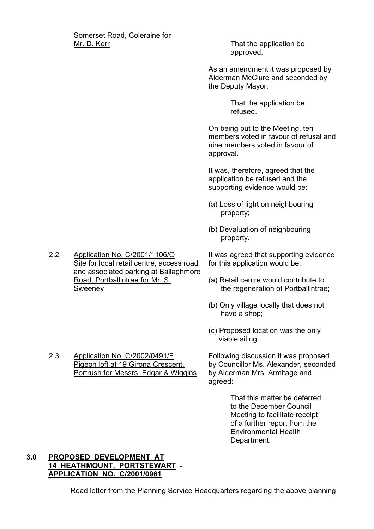Somerset Road, Coleraine for Mr. D. Kerr **That the application be** That the application be

approved.

As an amendment it was proposed by Alderman McClure and seconded by the Deputy Mayor:

> That the application be refused.

On being put to the Meeting, ten members voted in favour of refusal and nine members voted in favour of approval.

It was, therefore, agreed that the application be refused and the supporting evidence would be:

- (a) Loss of light on neighbouring property;
- (b) Devaluation of neighbouring property.

It was agreed that supporting evidence for this application would be:

- (a) Retail centre would contribute to the regeneration of Portballintrae;
- (b) Only village locally that does not have a shop;
- (c) Proposed location was the only viable siting.

Following discussion it was proposed by Councillor Ms. Alexander, seconded by Alderman Mrs. Armitage and agreed:

> That this matter be deferred to the December Council Meeting to facilitate receipt of a further report from the Environmental Health Department.

## **3.0 PROPOSED DEVELOPMENT AT 14 HEATHMOUNT, PORTSTEWART - APPLICATION NO. C/2001/0961**

Read letter from the Planning Service Headquarters regarding the above planning

2.2 Application No. C/2001/1106/O Site for local retail centre, access road and associated parking at Ballaghmore Road, Portballintrae for Mr. S. Sweeney

2.3 Application No. C/2002/0491/F Pigeon loft at 19 Girona Crescent, Portrush for Messrs. Edgar & Wiggins